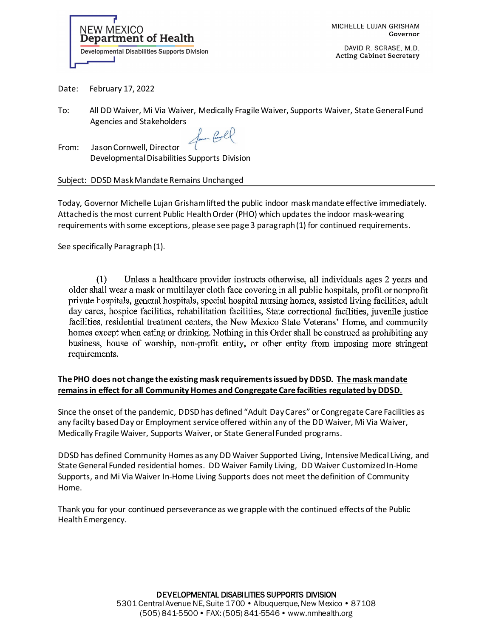

MICHELLE LUJAN GRISHAM Governor

DAVID R. SCRASE, M.D. **Acting Cabinet Secretary** 

Date: February 17, 2022

To: All DD Waiver, Mi Via Waiver, Medically Fragile Waiver, Supports Waiver, State General Fund Agencies and Stakeholders

form Corel

From: Jason Cornwell, Director Developmental Disabilities Supports Division

## Subject: DDSD Mask Mandate Remains Unchanged

Today, Governor Michelle Lujan Grisham lifted the public indoor mask mandate effective immediately. Attached is the most current Public Health Order (PHO) which updates the indoor mask-wearing requirements with some exceptions, please see page 3 paragraph (1) for continued requirements.

See specifically Paragraph (1).

Unless a healthcare provider instructs otherwise, all individuals ages 2 years and  $(1)$ older shall wear a mask or multilayer cloth face covering in all public hospitals, profit or nonprofit private hospitals, general hospitals, special hospital nursing homes, assisted living facilities, adult day cares, hospice facilities, rehabilitation facilities, State correctional facilities, juvenile justice facilities, residential treatment centers, the New Mexico State Veterans' Home, and community homes except when eating or drinking. Nothing in this Order shall be construed as prohibiting any business, house of worship, non-profit entity, or other entity from imposing more stringent requirements.

## **The PHO does not change the existing mask requirements issued by DDSD. The mask mandate remains in effect for all Community Homes and Congregate Care facilities regulated by DDSD**.

Since the onset of the pandemic, DDSD has defined "Adult Day Cares" or Congregate Care Facilities as any facilty based Day or Employment service offered within any of the DD Waiver, Mi Via Waiver, Medically Fragile Waiver, Supports Waiver, or State General Funded programs.

DDSD has defined Community Homes as any DD Waiver Supported Living, Intensive Medical Living, and State General Funded residential homes. DD Waiver Family Living, DD Waiver Customized In-Home Supports, and Mi Via Waiver In-Home Living Supports does not meet the definition of Community Home.

Thank you for your continued perseverance as we grapple with the continued effects of the Public Health Emergency.